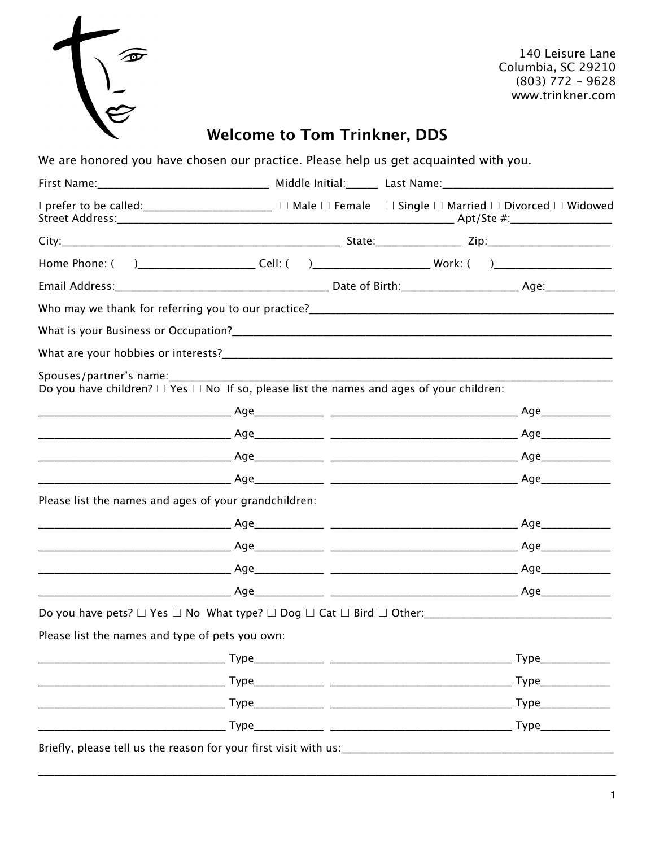|  | $\widehat{\mathbf{v}}$ |
|--|------------------------|
|  |                        |
|  | $\tilde{\phantom{a}}$  |
|  |                        |

140 Leisure Lane Columbia, SC 29210  $(803) 772 - 9628$ www.trinkner.com

## **Welcome to Tom Trinkner, DDS**

We are honored you have chosen our practice. Please help us get acquainted with you.

| I prefer to be called: ________________________ □ Male □ Female  □ Single □ Married □ Divorced □ Widowed                      |         |  |
|-------------------------------------------------------------------------------------------------------------------------------|---------|--|
|                                                                                                                               |         |  |
| Home Phone: () __________________________Cell: () ______________________________Work: () _____________________                |         |  |
|                                                                                                                               |         |  |
|                                                                                                                               |         |  |
|                                                                                                                               |         |  |
|                                                                                                                               |         |  |
| Spouses/partner's name:<br>Do you have children? $\Box$ Yes $\Box$ No If so, please list the names and ages of your children: |         |  |
|                                                                                                                               |         |  |
|                                                                                                                               |         |  |
|                                                                                                                               |         |  |
|                                                                                                                               |         |  |
| Please list the names and ages of your grandchildren:                                                                         |         |  |
|                                                                                                                               |         |  |
|                                                                                                                               |         |  |
|                                                                                                                               |         |  |
|                                                                                                                               |         |  |
|                                                                                                                               |         |  |
| Please list the names and type of pets you own:                                                                               |         |  |
| $\overline{\phantom{a}}$ Type                                                                                                 | $Type_$ |  |
|                                                                                                                               |         |  |
|                                                                                                                               |         |  |
| $\overline{\phantom{a}}$ Type                                                                                                 | Type    |  |
| Briefly, please tell us the reason for your first visit with us:_________________                                             |         |  |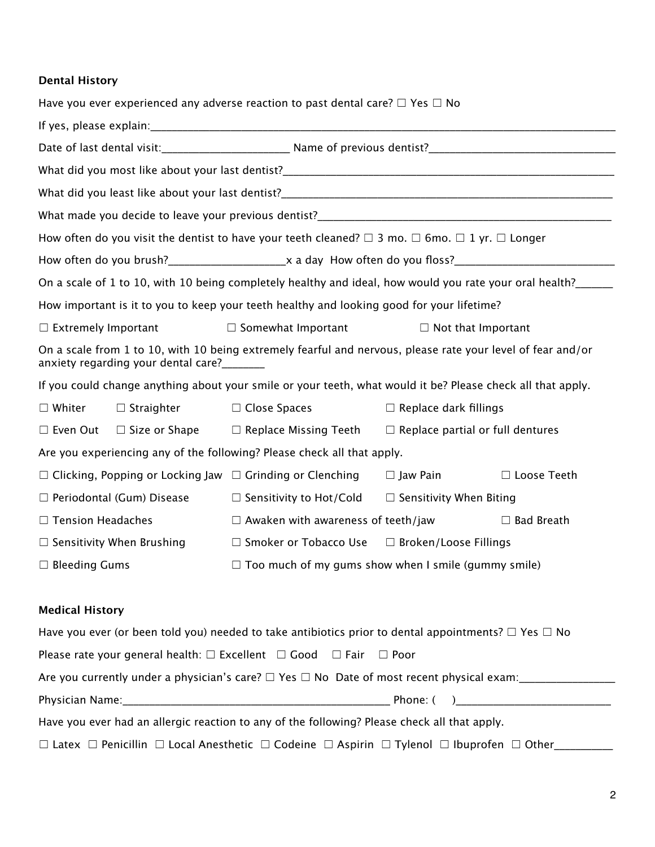## **Dental History**

| Have you ever experienced any adverse reaction to past dental care? $\Box$ Yes $\Box$ No                                                                  |                                  |                                                                                                                                                                                                                                |                              |                    |
|-----------------------------------------------------------------------------------------------------------------------------------------------------------|----------------------------------|--------------------------------------------------------------------------------------------------------------------------------------------------------------------------------------------------------------------------------|------------------------------|--------------------|
|                                                                                                                                                           |                                  |                                                                                                                                                                                                                                |                              |                    |
|                                                                                                                                                           |                                  |                                                                                                                                                                                                                                |                              |                    |
|                                                                                                                                                           |                                  |                                                                                                                                                                                                                                |                              |                    |
|                                                                                                                                                           |                                  | What did you least like about your last dentist? Notified the state of the state of the state of the state of the state of the state of the state of the state of the state of the state of the state of the state of the stat |                              |                    |
|                                                                                                                                                           |                                  |                                                                                                                                                                                                                                |                              |                    |
|                                                                                                                                                           |                                  | How often do you visit the dentist to have your teeth cleaned? $\square$ 3 mo. $\square$ 6mo. $\square$ 1 yr. $\square$ Longer                                                                                                 |                              |                    |
|                                                                                                                                                           |                                  |                                                                                                                                                                                                                                |                              |                    |
|                                                                                                                                                           |                                  | On a scale of 1 to 10, with 10 being completely healthy and ideal, how would you rate your oral health?                                                                                                                        |                              |                    |
|                                                                                                                                                           |                                  | How important is it to you to keep your teeth healthy and looking good for your lifetime?                                                                                                                                      |                              |                    |
| $\Box$ Extremely Important                                                                                                                                |                                  | $\Box$ Somewhat Important                                                                                                                                                                                                      | $\Box$ Not that Important    |                    |
| On a scale from 1 to 10, with 10 being extremely fearful and nervous, please rate your level of fear and/or<br>anxiety regarding your dental care?_______ |                                  |                                                                                                                                                                                                                                |                              |                    |
| If you could change anything about your smile or your teeth, what would it be? Please check all that apply.                                               |                                  |                                                                                                                                                                                                                                |                              |                    |
| $\square$ Whiter                                                                                                                                          | $\Box$ Straighter                | $\Box$ Close Spaces                                                                                                                                                                                                            | $\Box$ Replace dark fillings |                    |
|                                                                                                                                                           |                                  | $\Box$ Even Out $\Box$ Size or Shape $\Box$ Replace Missing Teeth $\Box$ Replace partial or full dentures                                                                                                                      |                              |                    |
| Are you experiencing any of the following? Please check all that apply.                                                                                   |                                  |                                                                                                                                                                                                                                |                              |                    |
|                                                                                                                                                           |                                  | $\Box$ Clicking, Popping or Locking Jaw $\Box$ Grinding or Clenching                                                                                                                                                           | $\Box$ Jaw Pain              | $\Box$ Loose Teeth |
|                                                                                                                                                           | $\Box$ Periodontal (Gum) Disease | $\Box$ Sensitivity to Hot/Cold $\Box$ Sensitivity When Biting                                                                                                                                                                  |                              |                    |
| □ Tension Headaches                                                                                                                                       |                                  | $\Box$ Awaken with awareness of teeth/jaw                                                                                                                                                                                      |                              | $\Box$ Bad Breath  |
|                                                                                                                                                           | $\Box$ Sensitivity When Brushing | $\Box$ Smoker or Tobacco Use $\Box$ Broken/Loose Fillings                                                                                                                                                                      |                              |                    |
| $\Box$ Bleeding Gums                                                                                                                                      |                                  | $\Box$ Too much of my gums show when I smile (gummy smile)                                                                                                                                                                     |                              |                    |
| <b>Medical History</b>                                                                                                                                    |                                  |                                                                                                                                                                                                                                |                              |                    |
|                                                                                                                                                           |                                  | Have you ever (or been told you) needed to take antibiotics prior to dental appointments? $\Box$ Yes $\Box$ No                                                                                                                 |                              |                    |

| $\frac{1}{1000}$ or the form to the four-interaction continuously prior to actival appointments. $\pm$ 1 to $\pm$ 110                |            |  |
|--------------------------------------------------------------------------------------------------------------------------------------|------------|--|
| Please rate your general health: $\square$ Excellent $\square$ Good $\square$ Fair $\square$ Poor                                    |            |  |
| Are you currently under a physician's care? $\Box$ Yes $\Box$ No Date of most recent physical exam:                                  |            |  |
|                                                                                                                                      | Phone: ( ) |  |
| Have you ever had an allergic reaction to any of the following? Please check all that apply.                                         |            |  |
| $\Box$ Latex $\Box$ Penicillin $\Box$ Local Anesthetic $\Box$ Codeine $\Box$ Aspirin $\Box$ Tylenol $\Box$ Ibuprofen $\Box$ Other___ |            |  |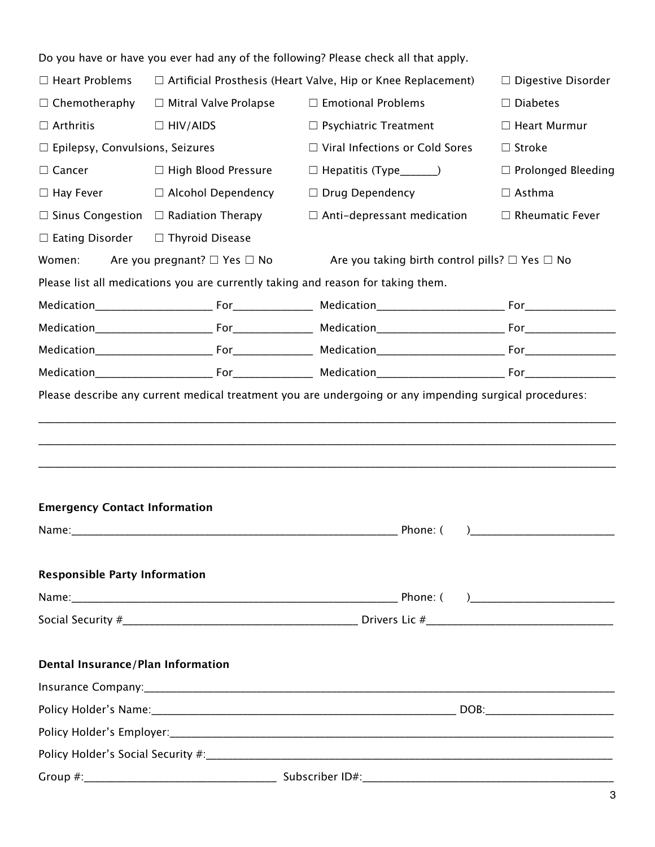|                                               |                                                  | Do you have or have you ever had any of the following? Please check all that apply.                                |                           |
|-----------------------------------------------|--------------------------------------------------|--------------------------------------------------------------------------------------------------------------------|---------------------------|
| $\Box$ Heart Problems                         |                                                  | $\Box$ Artificial Prosthesis (Heart Valve, Hip or Knee Replacement)                                                | $\Box$ Digestive Disorder |
| $\Box$ Chemotheraphy                          | $\Box$ Mitral Valve Prolapse                     | $\Box$ Emotional Problems                                                                                          | $\Box$ Diabetes           |
| $\Box$ Arthritis                              | $\Box$ HIV/AIDS                                  | $\Box$ Psychiatric Treatment                                                                                       | □ Heart Murmur            |
| $\Box$ Epilepsy, Convulsions, Seizures        |                                                  | $\Box$ Viral Infections or Cold Sores                                                                              | $\Box$ Stroke             |
| $\Box$ Cancer                                 | $\Box$ High Blood Pressure                       | $\Box$ Hepatitis (Type______)                                                                                      | $\Box$ Prolonged Bleeding |
| $\Box$ Hay Fever                              | $\Box$ Alcohol Dependency                        | $\Box$ Drug Dependency                                                                                             | $\Box$ Asthma             |
|                                               | $\Box$ Sinus Congestion $\Box$ Radiation Therapy | $\Box$ Anti-depressant medication                                                                                  | $\Box$ Rheumatic Fever    |
| $\Box$ Eating Disorder $\Box$ Thyroid Disease |                                                  |                                                                                                                    |                           |
|                                               |                                                  | Women: Are you pregnant? $\square$ Yes $\square$ No Are you taking birth control pills? $\square$ Yes $\square$ No |                           |
|                                               |                                                  | Please list all medications you are currently taking and reason for taking them.                                   |                           |
|                                               |                                                  |                                                                                                                    |                           |
|                                               |                                                  |                                                                                                                    |                           |
|                                               |                                                  |                                                                                                                    |                           |
|                                               |                                                  |                                                                                                                    |                           |
|                                               |                                                  |                                                                                                                    |                           |
| <b>Emergency Contact Information</b>          |                                                  |                                                                                                                    |                           |
|                                               |                                                  |                                                                                                                    |                           |
| <b>Responsible Party Information</b>          |                                                  |                                                                                                                    |                           |
|                                               |                                                  |                                                                                                                    |                           |
|                                               |                                                  |                                                                                                                    |                           |
| <b>Dental Insurance/Plan Information</b>      |                                                  |                                                                                                                    |                           |
|                                               |                                                  |                                                                                                                    |                           |
|                                               |                                                  |                                                                                                                    |                           |
|                                               |                                                  |                                                                                                                    |                           |
|                                               |                                                  |                                                                                                                    |                           |
|                                               |                                                  |                                                                                                                    |                           |